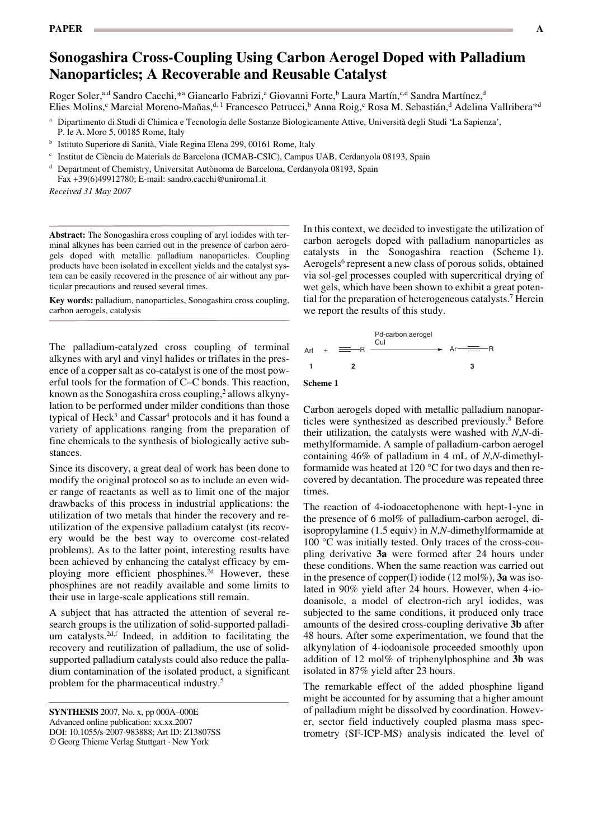# **Sonogashira Cross-Coupling Using Carbon Aerogel Doped with Palladium Nanoparticles; A Recoverable and Reusable Catalyst**

Roger Soler,<sup>a,d</sup> Sandro Cacchi,\*a Giancarlo Fabrizi,<sup>a</sup> Giovanni Forte,<sup>b</sup> Laura Martín,<sup>c,d</sup> Sandra Martínez,<sup>d</sup> Elies Molins,<sup>c</sup> Marcial Moreno-Mañas,<sup>d, 1</sup> Francesco Petrucci,<sup>b</sup> Anna Roig,<sup>c</sup> Rosa M. Sebastián,<sup>d</sup> Adelina Vallribera\*<sup>d</sup>

- <sup>b</sup> Istituto Superiore di Sanità, Viale Regina Elena 299, 00161 Rome, Italy
- <sup>c</sup> Institut de Ciència de Materials de Barcelona (ICMAB-CSIC), Campus UAB, Cerdanyola 08193, Spain

<sup>d</sup> Department of Chemistry, Universitat Autònoma de Barcelona, Cerdanyola 08193, Spain

Fax +39(6)49912780; E-mail: sandro.cacchi@uniroma1.it

*Received 31 May 2007*

**Abstract:** The Sonogashira cross coupling of aryl iodides with terminal alkynes has been carried out in the presence of carbon aerogels doped with metallic palladium nanoparticles. Coupling products have been isolated in excellent yields and the catalyst system can be easily recovered in the presence of air without any particular precautions and reused several times.

**Key words:** palladium, nanoparticles, Sonogashira cross coupling, carbon aerogels, catalysis

The palladium-catalyzed cross coupling of terminal alkynes with aryl and vinyl halides or triflates in the presence of a copper salt as co-catalyst is one of the most powerful tools for the formation of C–C bonds. This reaction, known as the Sonogashira cross coupling,<sup>2</sup> allows alkynylation to be performed under milder conditions than those typical of Heck<sup>3</sup> and Cassar<sup>4</sup> protocols and it has found a variety of applications ranging from the preparation of fine chemicals to the synthesis of biologically active substances.

Since its discovery, a great deal of work has been done to modify the original protocol so as to include an even wider range of reactants as well as to limit one of the major drawbacks of this process in industrial applications: the utilization of two metals that hinder the recovery and reutilization of the expensive palladium catalyst (its recovery would be the best way to overcome cost-related problems). As to the latter point, interesting results have been achieved by enhancing the catalyst efficacy by employing more efficient phosphines.<sup>2d</sup> However, these phosphines are not readily available and some limits to their use in large-scale applications still remain.

A subject that has attracted the attention of several research groups is the utilization of solid-supported palladium catalysts.<sup>2d,f</sup> Indeed, in addition to facilitating the recovery and reutilization of palladium, the use of solidsupported palladium catalysts could also reduce the palladium contamination of the isolated product, a significant problem for the pharmaceutical industry.5

In this context, we decided to investigate the utilization of carbon aerogels doped with palladium nanoparticles as catalysts in the Sonogashira reaction (Scheme 1). Aerogels<sup>6</sup> represent a new class of porous solids, obtained via sol-gel processes coupled with supercritical drying of wet gels, which have been shown to exhibit a great potential for the preparation of heterogeneous catalysts.<sup>7</sup> Herein we report the results of this study.



Carbon aerogels doped with metallic palladium nanoparticles were synthesized as described previously.<sup>8</sup> Before their utilization, the catalysts were washed with *N*,*N*-dimethylformamide. A sample of palladium-carbon aerogel containing 46% of palladium in 4 mL of *N*,*N*-dimethylformamide was heated at 120 °C for two days and then recovered by decantation. The procedure was repeated three times.

The reaction of 4-iodoacetophenone with hept-1-yne in the presence of 6 mol% of palladium-carbon aerogel, diisopropylamine (1.5 equiv) in *N*,*N*-dimethylformamide at 100 °C was initially tested. Only traces of the cross-coupling derivative **3a** were formed after 24 hours under these conditions. When the same reaction was carried out in the presence of copper $(I)$  iodide  $(12 \text{ mol}\%)$ , **3a** was isolated in 90% yield after 24 hours. However, when 4*-*iodoanisole, a model of electron-rich aryl iodides, was subjected to the same conditions, it produced only trace amounts of the desired cross-coupling derivative **3b** after 48 hours. After some experimentation, we found that the alkynylation of 4*-*iodoanisole proceeded smoothly upon addition of 12 mol% of triphenylphosphine and **3b** was isolated in 87% yield after 23 hours.

The remarkable effect of the added phosphine ligand might be accounted for by assuming that a higher amount of palladium might be dissolved by coordination. However, sector field inductively coupled plasma mass spectrometry (SF-ICP-MS) analysis indicated the level of

<sup>a</sup> Dipartimento di Studi di Chimica e Tecnologia delle Sostanze Biologicamente Attive, Università degli Studi 'La Sapienza', P. le A. Moro 5, 00185 Rome, Italy

**SYNTHESIS** 2007, No. x, pp 000A-000E Advanced online publication: xx.xx.2007 DOI: 10.1055/s-2007-983888; Art ID: Z13807SS © Georg Thieme Verlag Stuttgart · New York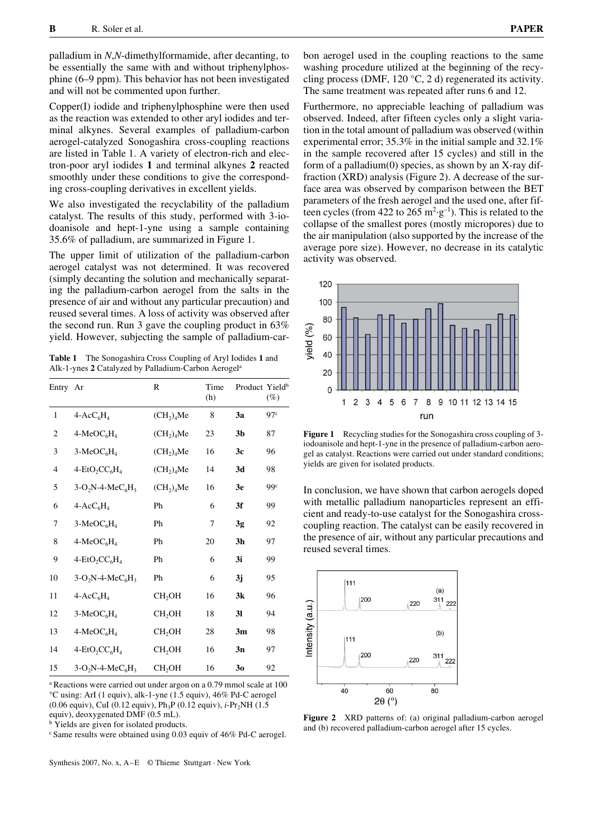palladium in *N*,*N*-dimethylformamide, after decanting, to be essentially the same with and without triphenylphosphine (6–9 ppm). This behavior has not been investigated and will not be commented upon further.

Copper(I) iodide and triphenylphosphine were then used as the reaction was extended to other aryl iodides and terminal alkynes. Several examples of palladium-carbon aerogel-catalyzed Sonogashira cross-coupling reactions are listed in Table 1. A variety of electron-rich and electron-poor aryl iodides **1** and terminal alkynes **2** reacted smoothly under these conditions to give the corresponding cross-coupling derivatives in excellent yields.

We also investigated the recyclability of the palladium catalyst. The results of this study, performed with 3*-*iodoanisole and hept-1-yne using a sample containing 35.6% of palladium, are summarized in Figure 1.

The upper limit of utilization of the palladium-carbon aerogel catalyst was not determined. It was recovered (simply decanting the solution and mechanically separating the palladium-carbon aerogel from the salts in the presence of air and without any particular precaution) and reused several times. A loss of activity was observed after the second run. Run 3 gave the coupling product in 63% yield. However, subjecting the sample of palladium-car-

**Table 1** The Sonogashira Cross Coupling of Aryl Iodides **1** and Alk-1-ynes **2** Catalyzed by Palladium-Carbon Aerogela

| Entry Ar       |                     | $\mathbb{R}$                       | Time<br>(h) | Product Yield <sup>b</sup> | $(\%)$          |
|----------------|---------------------|------------------------------------|-------------|----------------------------|-----------------|
| $\mathbf{1}$   | $4 - AccC_6H_4$     | (CH <sub>2</sub> ) <sub>4</sub> Me | 8           | 3a                         | 97 <sup>c</sup> |
| $\overline{c}$ | $4-MeOC6H4$         | (CH <sub>2</sub> ) <sub>4</sub> Me | 23          | 3 <sub>b</sub>             | 87              |
| 3              | $3-MeOC6H4$         | (CH <sub>2</sub> ) <sub>4</sub> Me | 16          | 3c                         | 96              |
| $\overline{4}$ | $4-EtO2CC6H4$       | (CH <sub>2</sub> ) <sub>4</sub> Me | 14          | 3d                         | 98              |
| 5              | $3-O2N-4-MeC6H3$    | (CH <sub>2</sub> ) <sub>4</sub> Me | 16          | 3 <sub>e</sub>             | 99c             |
| 6              | $4 - Acc6H4$        | Ph                                 | 6           | 3f                         | 99              |
| 7              | $3-MeOC6H4$         | Ph                                 | 7           | 3g                         | 92              |
| 8              | $4-MeOC6H4$         | Ph                                 | 20          | 3 <sub>h</sub>             | 97              |
| 9              | $4-EtO2CC6H4$       | Ph                                 | 6           | 3i                         | 99              |
| 10             | $3-O_2N-4-MeC_6H_3$ | Ph                                 | 6           | 3j                         | 95              |
| 11             | $4 - AccC_6H_4$     | CH <sub>2</sub> OH                 | 16          | 3k                         | 96              |
| 12             | $3-MeOC6H4$         | CH <sub>2</sub> OH                 | 18          | 3 <sub>l</sub>             | 94              |
| 13             | $4-MeOC6H4$         | CH <sub>2</sub> OH                 | 28          | 3m                         | 98              |
| 14             | $4-EtO2CC6H4$       | CH <sub>2</sub> OH                 | 16          | 3n                         | 97              |
| 15             | $3-O2N-4-MeC6H3$    | CH <sub>2</sub> OH                 | 16          | 30                         | 92              |

a Reactions were carried out under argon on a 0.79 mmol scale at 100 °C using: ArI (1 equiv), alk-1-yne (1.5 equiv), 46% Pd-C aerogel (0.06 equiv), CuI (0.12 equiv), Ph<sub>3</sub>P (0.12 equiv), *i*-Pr<sub>2</sub>NH (1.5) equiv), deoxygenated DMF (0.5 mL).

<sup>b</sup> Yields are given for isolated products.

c Same results were obtained using 0.03 equiv of 46% Pd-C aerogel.

Synthesis 2007, No. x, A–E © Thieme Stuttgart · New York

bon aerogel used in the coupling reactions to the same washing procedure utilized at the beginning of the recycling process (DMF, 120  $\degree$ C, 2 d) regenerated its activity. The same treatment was repeated after runs 6 and 12.

Furthermore, no appreciable leaching of palladium was observed. Indeed, after fifteen cycles only a slight variation in the total amount of palladium was observed (within experimental error; 35.3% in the initial sample and 32.1% in the sample recovered after 15 cycles) and still in the form of a palladium(0) species, as shown by an X-ray diffraction (XRD) analysis (Figure 2). A decrease of the surface area was observed by comparison between the BET parameters of the fresh aerogel and the used one, after fifteen cycles (from 422 to 265  $m^2 \cdot g^{-1}$ ). This is related to the collapse of the smallest pores (mostly micropores) due to the air manipulation (also supported by the increase of the average pore size). However, no decrease in its catalytic activity was observed.



**Figure 1** Recycling studies for the Sonogashira cross coupling of 3 iodoanisole and hept-1-yne in the presence of palladium-carbon aerogel as catalyst. Reactions were carried out under standard conditions; yields are given for isolated products.

In conclusion, we have shown that carbon aerogels doped with metallic palladium nanoparticles represent an efficient and ready-to-use catalyst for the Sonogashira crosscoupling reaction. The catalyst can be easily recovered in the presence of air, without any particular precautions and reused several times.



**Figure 2** XRD patterns of: (a) original palladium-carbon aerogel and (b) recovered palladium-carbon aerogel after 15 cycles.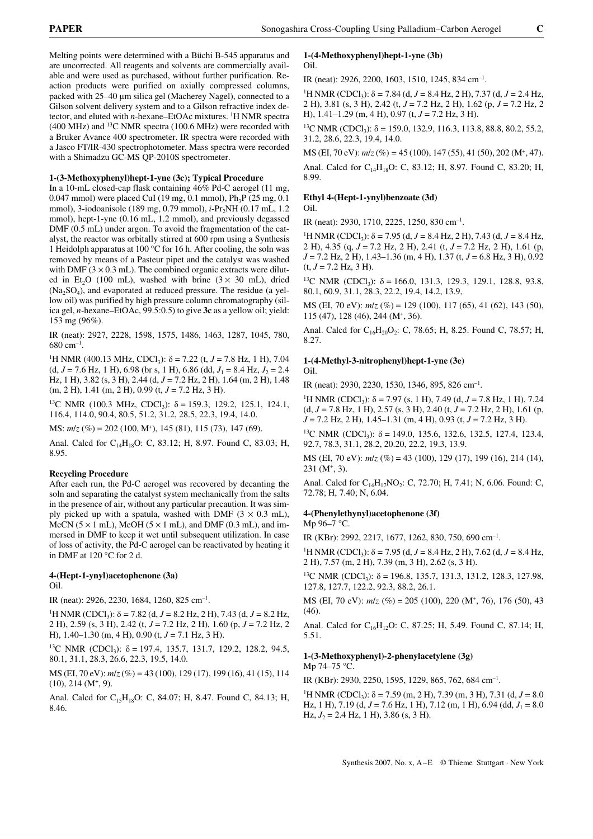Melting points were determined with a Büchi B-545 apparatus and are uncorrected. All reagents and solvents are commercially available and were used as purchased, without further purification. Reaction products were purified on axially compressed columns, packed with 25–40 µm silica gel (Macherey Nagel), connected to a Gilson solvent delivery system and to a Gilson refractive index detector, and eluted with *n*-hexane–EtOAc mixtures. <sup>1</sup>H NMR spectra (400 MHz) and 13C NMR spectra (100.6 MHz) were recorded with a Bruker Avance 400 spectrometer. IR spectra were recorded with a Jasco FT/IR-430 spectrophotometer. Mass spectra were recorded with a Shimadzu GC-MS QP-2010S spectrometer.

### **1-(3-Methoxyphenyl)hept-1-yne (3c); Typical Procedure**

In a 10-mL closed-cap flask containing 46% Pd-C aerogel (11 mg, 0.047 mmol) were placed CuI (19 mg, 0.1 mmol),  $Ph_3P$  (25 mg, 0.1) mmol), 3-iodoanisole (189 mg, 0.79 mmol), *i*-Pr<sub>2</sub>NH (0.17 mL, 1.2) mmol), hept-1-yne (0.16 mL, 1.2 mmol), and previously degassed DMF (0.5 mL) under argon. To avoid the fragmentation of the catalyst, the reactor was orbitally stirred at 600 rpm using a Synthesis 1 Heidolph apparatus at 100 °C for 16 h. After cooling, the soln was removed by means of a Pasteur pipet and the catalyst was washed with DMF  $(3 \times 0.3 \text{ mL})$ . The combined organic extracts were diluted in Et<sub>2</sub>O (100 mL), washed with brine  $(3 \times 30 \text{ mL})$ , dried  $(Na<sub>2</sub>SO<sub>4</sub>)$ , and evaporated at reduced pressure. The residue (a yellow oil) was purified by high pressure column chromatography (silica gel, *n*-hexane–EtOAc, 99.5:0.5) to give **3c** as a yellow oil; yield: 153 mg (96%).

IR (neat): 2927, 2228, 1598, 1575, 1486, 1463, 1287, 1045, 780,  $680 \text{ cm}^{-1}$ .

<sup>1</sup>H NMR (400.13 MHz, CDCl<sub>3</sub>):  $\delta$  = 7.22 (t, *J* = 7.8 Hz, 1 H), 7.04  $(d, J = 7.6 \text{ Hz}, 1 \text{ H}), 6.98 \text{ (br s, 1 H)}, 6.86 \text{ (dd, } J_1 = 8.4 \text{ Hz}, J_2 = 2.4$ Hz, 1 H), 3.82 (s, 3 H), 2.44 (d, *J* = 7.2 Hz, 2 H), 1.64 (m, 2 H), 1.48 (m, 2 H), 1.41 (m, 2 H), 0.99 (t, *J* = 7.2 Hz, 3 H).

<sup>13</sup>C NMR (100.3 MHz, CDCl<sub>3</sub>):  $\delta = 159.3$ , 129.2, 125.1, 124.1, 116.4, 114.0, 90.4, 80.5, 51.2, 31.2, 28.5, 22.3, 19.4, 14.0.

MS: *m*/*z* (%) = 202 (100, M+), 145 (81), 115 (73), 147 (69).

Anal. Calcd for  $C_{14}H_{18}O$ : C, 83.12; H, 8.97. Found C, 83.03; H, 8.95.

### **Recycling Procedure**

After each run, the Pd-C aerogel was recovered by decanting the soln and separating the catalyst system mechanically from the salts in the presence of air, without any particular precaution. It was simply picked up with a spatula, washed with DMF  $(3 \times 0.3 \text{ mL})$ , MeCN ( $5 \times 1$  mL), MeOH ( $5 \times 1$  mL), and DMF (0.3 mL), and immersed in DMF to keep it wet until subsequent utilization. In case of loss of activity, the Pd-C aerogel can be reactivated by heating it in DMF at 120 °C for 2 d.

#### **4-(Hept-1-ynyl)acetophenone (3a)** Oil.

IR (neat): 2926, 2230, 1684, 1260, 825 cm–1.

<sup>1</sup>H NMR (CDCl<sub>3</sub>):  $\delta$  = 7.82 (d, *J* = 8.2 Hz, 2 H), 7.43 (d, *J* = 8.2 Hz, 2 H), 2.59 (s, 3 H), 2.42 (t, *J* = 7.2 Hz, 2 H), 1.60 (p, *J* = 7.2 Hz, 2 H), 1.40–1.30 (m, 4 H), 0.90 (t, *J* = 7.1 Hz, 3 H).

<sup>13</sup>C NMR (CDCl<sub>3</sub>):  $\delta$  = 197.4, 135.7, 131.7, 129.2, 128.2, 94.5, 80.1, 31.1, 28.3, 26.6, 22.3, 19.5, 14.0.

MS (EI, 70 eV): *m*/*z* (%) = 43 (100), 129 (17), 199 (16), 41 (15), 114  $(10), 214$   $(M^+, 9)$ .

Anal. Calcd for  $C_{15}H_{18}O$ : C, 84.07; H, 8.47. Found C, 84.13; H, 8.46.

#### **1-(4-Methoxyphenyl)hept-1-yne (3b)** Oil.

IR (neat): 2926, 2200, 1603, 1510, 1245, 834 cm–1.

<sup>1</sup>H NMR (CDCl<sub>3</sub>):  $\delta$  = 7.84 (d, *J* = 8.4 Hz, 2 H), 7.37 (d, *J* = 2.4 Hz, 2 H), 3.81 (s, 3 H), 2.42 (t, *J* = 7.2 Hz, 2 H), 1.62 (p, *J* = 7.2 Hz, 2 H), 1.41–1.29 (m, 4 H), 0.97 (t, *J* = 7.2 Hz, 3 H).

<sup>13</sup>C NMR (CDCl<sub>3</sub>):  $\delta$  = 159.0, 132.9, 116.3, 113.8, 88.8, 80.2, 55.2, 31.2, 28.6, 22.3, 19.4, 14.0.

MS (EI, 70 eV): *m*/*z* (%) = 45 (100), 147 (55), 41 (50), 202 (M+, 47).

Anal. Calcd for  $C_{14}H_{18}O$ : C, 83.12; H, 8.97. Found C, 83.20; H, 8.99.

### **Ethyl 4-(Hept-1-ynyl)benzoate (3d)**

Oil.

IR (neat): 2930, 1710, 2225, 1250, 830 cm–1.

<sup>1</sup>H NMR (CDCl<sub>3</sub>):  $\delta$  = 7.95 (d, *J* = 8.4 Hz, 2 H), 7.43 (d, *J* = 8.4 Hz, 2 H), 4.35 (q, *J* = 7.2 Hz, 2 H), 2.41 (t, *J* = 7.2 Hz, 2 H), 1.61 (p, *J* = 7.2 Hz, 2 H), 1.43–1.36 (m, 4 H), 1.37 (t, *J* = 6.8 Hz, 3 H), 0.92  $(t, J = 7.2 \text{ Hz}, 3 \text{ H}).$ 

<sup>13</sup>C NMR (CDCl<sub>3</sub>):  $\delta = 166.0, 131.3, 129.3, 129.1, 128.8, 93.8,$ 80.1, 60.9, 31.1, 28.3, 22.2, 19.4, 14.2, 13.9,

MS (EI, 70 eV): *m*/*z* (%) = 129 (100), 117 (65), 41 (62), 143 (50), 115 (47), 128 (46), 244 (M+, 36).

Anal. Calcd for C<sub>16</sub>H<sub>20</sub>O<sub>2</sub>: C, 78.65; H, 8.25. Found C, 78.57; H, 8.27.

### **1-(4-Methyl-3-nitrophenyl)hept-1-yne (3e)** Oil.

IR (neat): 2930, 2230, 1530, 1346, 895, 826 cm–1.

<sup>1</sup>H NMR (CDCl<sub>3</sub>):  $\delta$  = 7.97 (s, 1 H), 7.49 (d, *J* = 7.8 Hz, 1 H), 7.24 (d, *J* = 7.8 Hz, 1 H), 2.57 (s, 3 H), 2.40 (t, *J* = 7.2 Hz, 2 H), 1.61 (p, *J* = 7.2 Hz, 2 H), 1.45–1.31 (m, 4 H), 0.93 (t, *J* = 7.2 Hz, 3 H).

<sup>13</sup>C NMR (CDCl<sub>3</sub>):  $\delta$  = 149.0, 135.6, 132.6, 132.5, 127.4, 123.4, 92.7, 78.3, 31.1, 28.2, 20.20, 22.2, 19.3, 13.9.

MS (EI, 70 eV): *m*/*z* (%) = 43 (100), 129 (17), 199 (16), 214 (14),  $231$  (M<sup>+</sup>, 3).

Anal. Calcd for  $C_{14}H_{17}NO_2$ : C, 72.70; H, 7.41; N, 6.06. Found: C, 72.78; H, 7.40; N, 6.04.

### **4-(Phenylethynyl)acetophenone (3f)**

Mp 96–7 °C.

IR (KBr): 2992, 2217, 1677, 1262, 830, 750, 690 cm–1.

<sup>1</sup>H NMR (CDCl<sub>3</sub>):  $\delta$  = 7.95 (d, *J* = 8.4 Hz, 2 H), 7.62 (d, *J* = 8.4 Hz, 2 H), 7.57 (m, 2 H), 7.39 (m, 3 H), 2.62 (s, 3 H).

<sup>13</sup>C NMR (CDCl<sub>3</sub>):  $\delta$  = 196.8, 135.7, 131.3, 131.2, 128.3, 127.98, 127.8, 127.7, 122.2, 92.3, 88.2, 26.1.

MS (EI, 70 eV): *m*/*z* (%) = 205 (100), 220 (M+, 76), 176 (50), 43 (46).

Anal. Calcd for C<sub>16</sub>H<sub>12</sub>O: C, 87.25; H, 5.49. Found C, 87.14; H, 5.51.

#### **1-(3-Methoxyphenyl)-2-phenylacetylene (3g)** Mp 74–75 °C.

IR (KBr): 2930, 2250, 1595, 1229, 865, 762, 684 cm–1.

<sup>1</sup>H NMR (CDCl<sub>3</sub>):  $\delta$  = 7.59 (m, 2 H), 7.39 (m, 3 H), 7.31 (d, *J* = 8.0 Hz, 1 H), 7.19 (d,  $J = 7.6$  Hz, 1 H), 7.12 (m, 1 H), 6.94 (dd,  $J_1 = 8.0$ Hz,  $J_2 = 2.4$  Hz, 1 H), 3.86 (s, 3 H).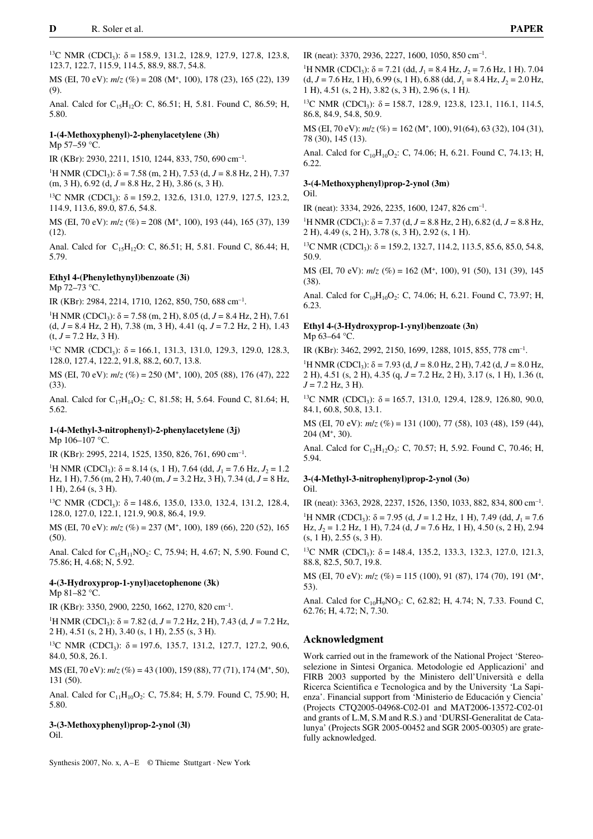<sup>13</sup>C NMR (CDCl<sub>3</sub>):  $\delta$  = 158.9, 131.2, 128.9, 127.9, 127.8, 123.8, 123.7, 122.7, 115.9, 114.5, 88.9, 88.7, 54.8.

MS (EI, 70 eV): *m*/*z* (%) = 208 (M+, 100), 178 (23), 165 (22), 139 (9).

Anal. Calcd for  $C_1,H_1,0$ : C, 86.51; H, 5.81. Found C, 86.59; H, 5.80.

### **1-(4-Methoxyphenyl)-2-phenylacetylene (3h)** Mp 57–59 °C.

IR (KBr): 2930, 2211, 1510, 1244, 833, 750, 690 cm–1.

<sup>1</sup>H NMR (CDCl<sub>3</sub>):  $\delta$  = 7.58 (m, 2 H), 7.53 (d, *J* = 8.8 Hz, 2 H), 7.37 (m, 3 H), 6.92 (d, *J* = 8.8 Hz, 2 H), 3.86 (s, 3 H).

<sup>13</sup>C NMR (CDCl<sub>3</sub>):  $\delta$  = 159.2, 132.6, 131.0, 127.9, 127.5, 123.2, 114.9, 113.6, 89.0, 87.6, 54.8.

MS (EI, 70 eV): *m*/*z* (%) = 208 (M+, 100), 193 (44), 165 (37), 139  $(12)$ .

Anal. Calcd for C<sub>15</sub>H<sub>12</sub>O: C, 86.51; H, 5.81. Found C, 86.44; H, 5.79.

# **Ethyl 4-(Phenylethynyl)benzoate (3i)**

Mp 72–73 °C.

IR (KBr): 2984, 2214, 1710, 1262, 850, 750, 688 cm–1.

<sup>1</sup>H NMR (CDCl<sub>3</sub>):  $\delta$  = 7.58 (m, 2 H), 8.05 (d, *J* = 8.4 Hz, 2 H), 7.61 (d, *J* = 8.4 Hz, 2 H), 7.38 (m, 3 H), 4.41 (q, *J* = 7.2 Hz, 2 H), 1.43  $(t, J = 7.2 \text{ Hz}, 3 \text{ H}).$ 

<sup>13</sup>C NMR (CDCl<sub>3</sub>):  $\delta$  = 166.1, 131.3, 131.0, 129.3, 129.0, 128.3, 128.0, 127.4, 122.2, 91.8, 88.2, 60.7, 13.8.

MS (EI, 70 eV): *m*/*z* (%) = 250 (M+, 100), 205 (88), 176 (47), 222 (33).

Anal. Calcd for  $C_{17}H_{14}O_2$ : C, 81.58; H, 5.64. Found C, 81.64; H, 5.62.

### **1-(4-Methyl-3-nitrophenyl)-2-phenylacetylene (3j)** Mp 106–107 °C.

IR (KBr): 2995, 2214, 1525, 1350, 826, 761, 690 cm–1.

<sup>1</sup>H NMR (CDCl<sub>3</sub>):  $\delta$  = 8.14 (s, 1 H), 7.64 (dd,  $J_1$  = 7.6 Hz,  $J_2$  = 1.2 Hz, 1 H), 7.56 (m, 2 H), 7.40 (m, *J* = 3.2 Hz, 3 H), 7.34 (d, *J* = 8 Hz, 1 H), 2.64 (s, 3 H).

<sup>13</sup>C NMR (CDCl<sub>3</sub>):  $\delta$  = 148.6, 135.0, 133.0, 132.4, 131.2, 128.4, 128.0, 127.0, 122.1, 121.9, 90.8, 86.4, 19.9.

MS (EI, 70 eV): *m*/*z* (%) = 237 (M+, 100), 189 (66), 220 (52), 165 (50).

Anal. Calcd for  $C_{15}H_{11}NO_2$ : C, 75.94; H, 4.67; N, 5.90. Found C, 75.86; H, 4.68; N, 5.92.

## **4-(3-Hydroxyprop-1-ynyl)acetophenone (3k)** Mp 81–82 °C.

IR (KBr): 3350, 2900, 2250, 1662, 1270, 820 cm–1.

<sup>1</sup>H NMR (CDCl<sub>3</sub>):  $\delta$  = 7.82 (d, *J* = 7.2 Hz, 2 H), 7.43 (d, *J* = 7.2 Hz, 2 H), 4.51 (s, 2 H), 3.40 (s, 1 H), 2.55 (s, 3 H).

<sup>13</sup>C NMR (CDCl<sub>3</sub>):  $\delta$  = 197.6, 135.7, 131.2, 127.7, 127.2, 90.6, 84.0, 50.8, 26.1.

MS (EI, 70 eV): *m*/*z* (%) = 43 (100), 159 (88), 77 (71), 174 (M+, 50), 131 (50).

Anal. Calcd for  $C_{11}H_{10}O_2$ : C, 75.84; H, 5.79. Found C, 75.90; H, 5.80.

## **3-(3-Methoxyphenyl)prop-2-ynol (3l)** Oil.

Synthesis 2007, No. x, A–E © Thieme Stuttgart · New York

IR (neat): 3370, 2936, 2227, 1600, 1050, 850 cm–1.

<sup>1</sup>H NMR (CDCl<sub>3</sub>):  $\delta$  = 7.21 (dd, *J*<sub>1</sub> = 8.4 Hz, *J*<sub>2</sub> = 7.6 Hz, 1 H). 7.04  $(d, J = 7.6 \text{ Hz}, 1 \text{ H}), 6.99 \text{ (s, 1 H)}, 6.88 \text{ (dd, } J_1 = 8.4 \text{ Hz}, J_2 = 2.0 \text{ Hz},$ 1 H), 4.51 (s, 2 H), 3.82 (s, 3 H), 2.96 (s, 1 H*).*

<sup>13</sup>C NMR (CDCl<sub>3</sub>):  $\delta$  = 158.7, 128.9, 123.8, 123.1, 116.1, 114.5, 86.8, 84.9, 54.8, 50.9.

MS (EI, 70 eV): *m*/*z* (%) = 162 (M+, 100), 91(64), 63 (32), 104 (31), 78 (30), 145 (13).

Anal. Calcd for  $C_{10}H_{10}O_2$ : C, 74.06; H, 6.21. Found C, 74.13; H, 6.22.

### **3-(4-Methoxyphenyl)prop-2-ynol (3m)**

### Oil.

IR (neat): 3334, 2926, 2235, 1600, 1247, 826 cm–1.

<sup>1</sup>H NMR (CDCl<sub>3</sub>):  $\delta$  = 7.37 (d, *J* = 8.8 Hz, 2 H), 6.82 (d, *J* = 8.8 Hz, 2 H), 4.49 (s, 2 H), 3.78 (s, 3 H), 2.92 (s, 1 H).

<sup>13</sup>C NMR (CDCl<sub>3</sub>):  $\delta$  = 159.2, 132.7, 114.2, 113.5, 85.6, 85.0, 54.8, 50.9.

MS (EI, 70 eV): *m*/*z* (%) = 162 (M+, 100), 91 (50), 131 (39), 145 (38).

Anal. Calcd for  $C_{10}H_{10}O_2$ : C, 74.06; H, 6.21. Found C, 73.97; H, 6.23.

# **Ethyl 4-(3-Hydroxyprop-1-ynyl)benzoate (3n)**

Mp 63–64 °C.

IR (KBr): 3462, 2992, 2150, 1699, 1288, 1015, 855, 778 cm–1.

<sup>1</sup>H NMR (CDCl<sub>3</sub>):  $\delta$  = 7.93 (d, *J* = 8.0 Hz, 2 H), 7.42 (d, *J* = 8.0 Hz, 2 H), 4.51 (s, 2 H), 4.35 (q, *J* = 7.2 Hz, 2 H), 3.17 (s, 1 H), 1.36 (t,  $J = 7.2$  Hz, 3 H).

<sup>13</sup>C NMR (CDCl<sub>3</sub>):  $\delta = 165.7, 131.0, 129.4, 128.9, 126.80, 90.0,$ 84.1, 60.8, 50.8, 13.1.

MS (EI, 70 eV): *m*/*z* (%) = 131 (100), 77 (58), 103 (48), 159 (44),  $204$  (M<sup>+</sup>, 30).

Anal. Calcd for  $C_{12}H_{12}O_3$ : C, 70.57; H, 5.92. Found C, 70.46; H, 5.94.

# **3-(4-Methyl-3-nitrophenyl)prop-2-ynol (3o)**

Oil.

IR (neat): 3363, 2928, 2237, 1526, 1350, 1033, 882, 834, 800 cm–1. <sup>1</sup>H NMR (CDCl<sub>3</sub>):  $\delta$  = 7.95 (d, *J* = 1.2 Hz, 1 H), 7.49 (dd, *J*<sub>1</sub> = 7.6 Hz, *J*<sup>2</sup> = 1.2 Hz, 1 H), 7.24 (d, *J* = 7.6 Hz, 1 H), 4.50 (s, 2 H), 2.94 (s, 1 H), 2.55 (s, 3 H).

<sup>13</sup>C NMR (CDCl<sub>3</sub>):  $\delta$  = 148.4, 135.2, 133.3, 132.3, 127.0, 121.3, 88.8, 82.5, 50.7, 19.8.

MS (EI, 70 eV): *m*/*z* (%) = 115 (100), 91 (87), 174 (70), 191 (M+, 53).

Anal. Calcd for  $C_{10}H_9NO_3$ : C, 62.82; H, 4.74; N, 7.33. Found C, 62.76; H, 4.72; N, 7.30.

### **Acknowledgment**

Work carried out in the framework of the National Project 'Stereoselezione in Sintesi Organica. Metodologie ed Applicazioni' and FIRB 2003 supported by the Ministero dell'Università e della Ricerca Scientifica e Tecnologica and by the University 'La Sapienza'. Financial support from 'Ministerio de Educación y Ciencia' (Projects CTQ2005-04968-C02-01 and MAT2006-13572-C02-01 and grants of L.M, S.M and R.S.) and 'DURSI-Generalitat de Catalunya' (Projects SGR 2005-00452 and SGR 2005-00305) are gratefully acknowledged.